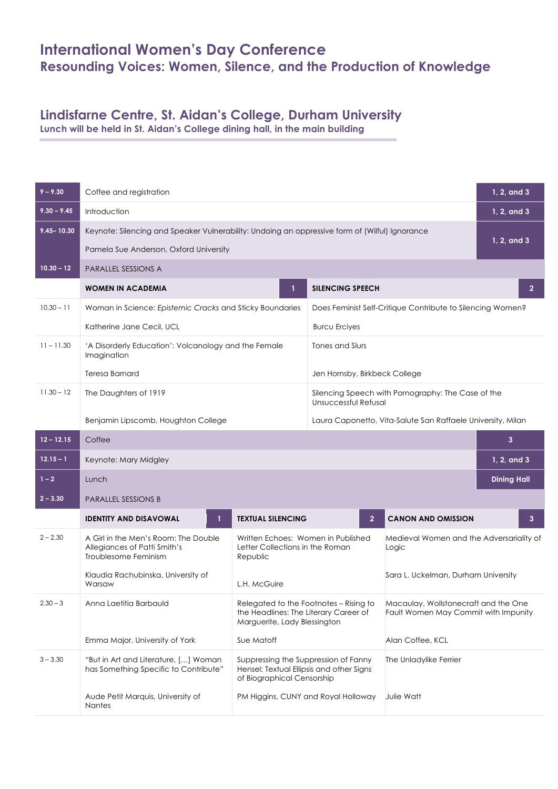## **International Women's Day Conference Resounding Voices: Women, Silence, and the Production of Knowledge**

## **Lindisfarne Centre, St. Aidan's College, Durham University**

**Lunch will be held in St. Aidan's College dining hall, in the main building**

| $9 - 9.30$     | Coffee and registration                                                                        |                                                                                                                 |                                                                            |                                                                              |              |  |
|----------------|------------------------------------------------------------------------------------------------|-----------------------------------------------------------------------------------------------------------------|----------------------------------------------------------------------------|------------------------------------------------------------------------------|--------------|--|
| $9.30 - 9.45$  | Introduction                                                                                   |                                                                                                                 |                                                                            |                                                                              |              |  |
| $9.45 - 10.30$ | Keynote: Silencing and Speaker Vulnerability: Undoing an oppressive form of (Wilful) Ignorance |                                                                                                                 |                                                                            |                                                                              |              |  |
|                | Pamela Sue Anderson, Oxford University                                                         |                                                                                                                 |                                                                            |                                                                              |              |  |
| $10.30 - 12$   | <b>PARALLEL SESSIONS A</b>                                                                     |                                                                                                                 |                                                                            |                                                                              |              |  |
|                | <b>WOMEN IN ACADEMIA</b>                                                                       | Т.                                                                                                              | <b>SILENCING SPEECH</b>                                                    |                                                                              | $\mathbf{2}$ |  |
| $10.30 - 11$   | Woman in Science: Epistemic Cracks and Sticky Boundaries                                       |                                                                                                                 | Does Feminist Self-Critique Contribute to Silencing Women?                 |                                                                              |              |  |
|                | Katherine Jane Cecil, UCL                                                                      |                                                                                                                 | <b>Burcu Erciyes</b>                                                       |                                                                              |              |  |
| $11 - 11.30$   | 'A Disorderly Education': Volcanology and the Female<br>Imagination                            |                                                                                                                 | Tones and Slurs                                                            |                                                                              |              |  |
|                | <b>Teresa Barnard</b>                                                                          |                                                                                                                 | Jen Hornsby, Birkbeck College                                              |                                                                              |              |  |
| $11.30 - 12$   | The Daughters of 1919                                                                          |                                                                                                                 | Silencing Speech with Pornography: The Case of the<br>Unsuccessful Refusal |                                                                              |              |  |
|                | Benjamin Lipscomb, Houghton College                                                            |                                                                                                                 |                                                                            | Laura Caponetto, Vita-Salute San Raffaele University, Milan                  |              |  |
| $12 - 12.15$   | Coffee<br>$\mathbf{3}$                                                                         |                                                                                                                 |                                                                            |                                                                              |              |  |
| $12.15 - 1$    | Keynote: Mary Midgley                                                                          |                                                                                                                 |                                                                            | 1, 2, and 3                                                                  |              |  |
| $1 - 2$        | <b>Dining Hall</b><br>Lunch                                                                    |                                                                                                                 |                                                                            |                                                                              |              |  |
| $2 - 3.30$     | <b>PARALLEL SESSIONS B</b>                                                                     |                                                                                                                 |                                                                            |                                                                              |              |  |
|                | <b>IDENTITY AND DISAVOWAL</b>                                                                  | <b>TEXTUAL SILENCING</b>                                                                                        | $\overline{2}$                                                             | <b>CANON AND OMISSION</b>                                                    | 3            |  |
| $2 - 2.30$     | A Girl in the Men's Room: The Double<br>Allegiances of Patti Smith's<br>Troublesome Feminism   | Written Echoes: Women in Published<br>Letter Collections in the Roman<br>Republic                               |                                                                            | Medieval Women and the Adversariality of<br>Logic                            |              |  |
|                | Klaudia Rachubinska, University of<br>Warsaw                                                   | L.H. McGuire                                                                                                    |                                                                            | Sara L. Uckelman, Durham University                                          |              |  |
| $2.30 - 3$     | Anna Laetitia Barbauld                                                                         | Relegated to the Footnotes - Rising to<br>the Headlines: The Literary Career of<br>Marguerite, Lady Blessington |                                                                            | Macaulay, Wollstonecraft and the One<br>Fault Women May Commit with Impunity |              |  |
|                | Emma Major, University of York                                                                 | Sue Matoff                                                                                                      |                                                                            | Alan Coffee, KCL                                                             |              |  |
| $3 - 3.30$     | "But in Art and Literature, [] Woman<br>has Something Specific to Contribute"                  | Suppressing the Suppression of Fanny<br>Hensel: Textual Ellipsis and other Signs<br>of Biographical Censorship  |                                                                            | The Unladylike Ferrier                                                       |              |  |
|                | Aude Petit Marquis, University of<br>Nantes                                                    |                                                                                                                 | PM Higgins, CUNY and Royal Holloway                                        | Julie Watt                                                                   |              |  |